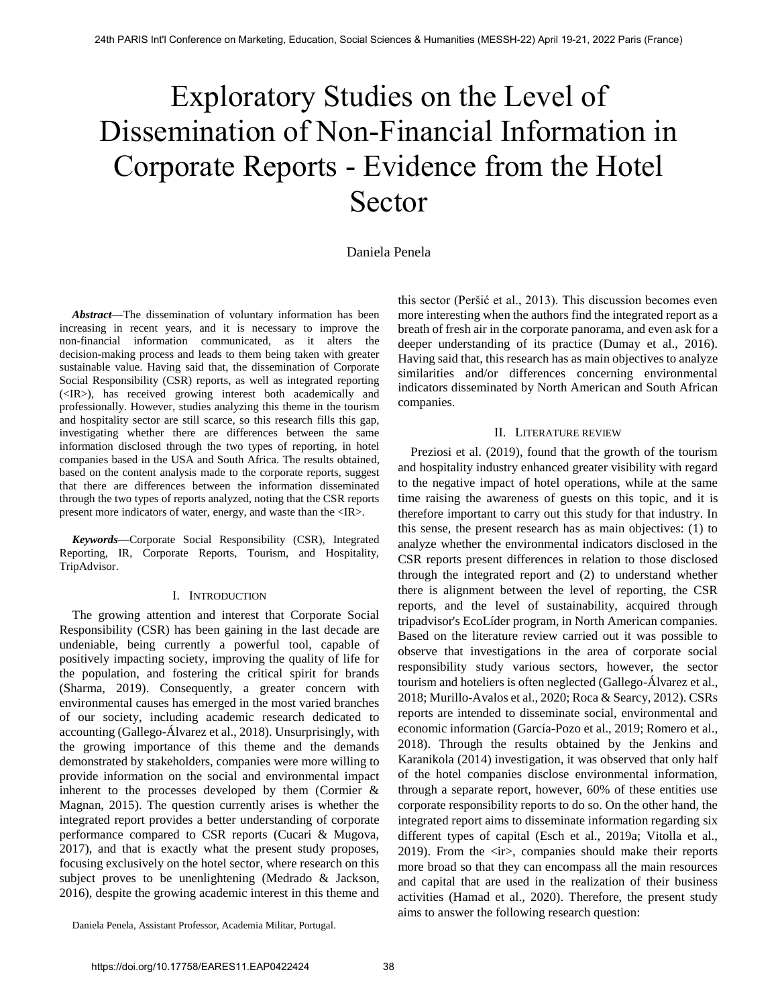# Exploratory Studies on the Level of Dissemination of Non-Financial Information in Corporate Reports - Evidence from the Hotel Sector

# Daniela Penela

*Abstract***—**The dissemination of voluntary information has been increasing in recent years, and it is necessary to improve the non-financial information communicated, as it alters the decision-making process and leads to them being taken with greater sustainable value. Having said that, the dissemination of Corporate Social Responsibility (CSR) reports, as well as integrated reporting (<IR>), has received growing interest both academically and professionally. However, studies analyzing this theme in the tourism and hospitality sector are still scarce, so this research fills this gap, investigating whether there are differences between the same information disclosed through the two types of reporting, in hotel companies based in the USA and South Africa. The results obtained, based on the content analysis made to the corporate reports, suggest that there are differences between the information disseminated through the two types of reports analyzed, noting that the CSR reports present more indicators of water, energy, and waste than the <IR>.

*Keywords***—**Corporate Social Responsibility (CSR), Integrated Reporting, IR, Corporate Reports, Tourism, and Hospitality, TripAdvisor.

#### I. INTRODUCTION

The growing attention and interest that Corporate Social Responsibility (CSR) has been gaining in the last decade are undeniable, being currently a powerful tool, capable of positively impacting society, improving the quality of life for the population, and fostering the critical spirit for brands (Sharma, 2019). Consequently, a greater concern with environmental causes has emerged in the most varied branches of our society, including academic research dedicated to accounting (Gallego-Álvarez et al., 2018). Unsurprisingly, with the growing importance of this theme and the demands demonstrated by stakeholders, companies were more willing to provide information on the social and environmental impact inherent to the processes developed by them (Cormier  $\&$ Magnan, 2015). The question currently arises is whether the integrated report provides a better understanding of corporate performance compared to CSR reports (Cucari & Mugova, 2017), and that is exactly what the present study proposes, focusing exclusively on the hotel sector, where research on this subject proves to be unenlightening (Medrado & Jackson, 2016), despite the growing academic interest in this theme and

this sector (Peršić et al., 2013). This discussion becomes even more interesting when the authors find the integrated report as a breath of fresh air in the corporate panorama, and even ask for a deeper understanding of its practice (Dumay et al., 2016). Having said that, this research has as main objectives to analyze similarities and/or differences concerning environmental indicators disseminated by North American and South African companies.

#### II. LITERATURE REVIEW

Preziosi et al. (2019), found that the growth of the tourism and hospitality industry enhanced greater visibility with regard to the negative impact of hotel operations, while at the same time raising the awareness of guests on this topic, and it is therefore important to carry out this study for that industry. In this sense, the present research has as main objectives: (1) to analyze whether the environmental indicators disclosed in the CSR reports present differences in relation to those disclosed through the integrated report and (2) to understand whether there is alignment between the level of reporting, the CSR reports, and the level of sustainability, acquired through tripadvisor's EcoLíder program, in North American companies. Based on the literature review carried out it was possible to observe that investigations in the area of corporate social responsibility study various sectors, however, the sector tourism and hoteliers is often neglected (Gallego-Álvarez et al., 2018; Murillo-Avalos et al., 2020; Roca & Searcy, 2012). CSRs reports are intended to disseminate social, environmental and economic information (García-Pozo et al., 2019; Romero et al., 2018). Through the results obtained by the Jenkins and Karanikola (2014) investigation, it was observed that only half of the hotel companies disclose environmental information, through a separate report, however, 60% of these entities use corporate responsibility reports to do so. On the other hand, the integrated report aims to disseminate information regarding six different types of capital (Esch et al., 2019a; Vitolla et al., 2019). From the <ir>, companies should make their reports more broad so that they can encompass all the main resources and capital that are used in the realization of their business activities (Hamad et al., 2020). Therefore, the present study aims to answer the following research question:

Daniela Penela, Assistant Professor, Academia Militar, Portugal.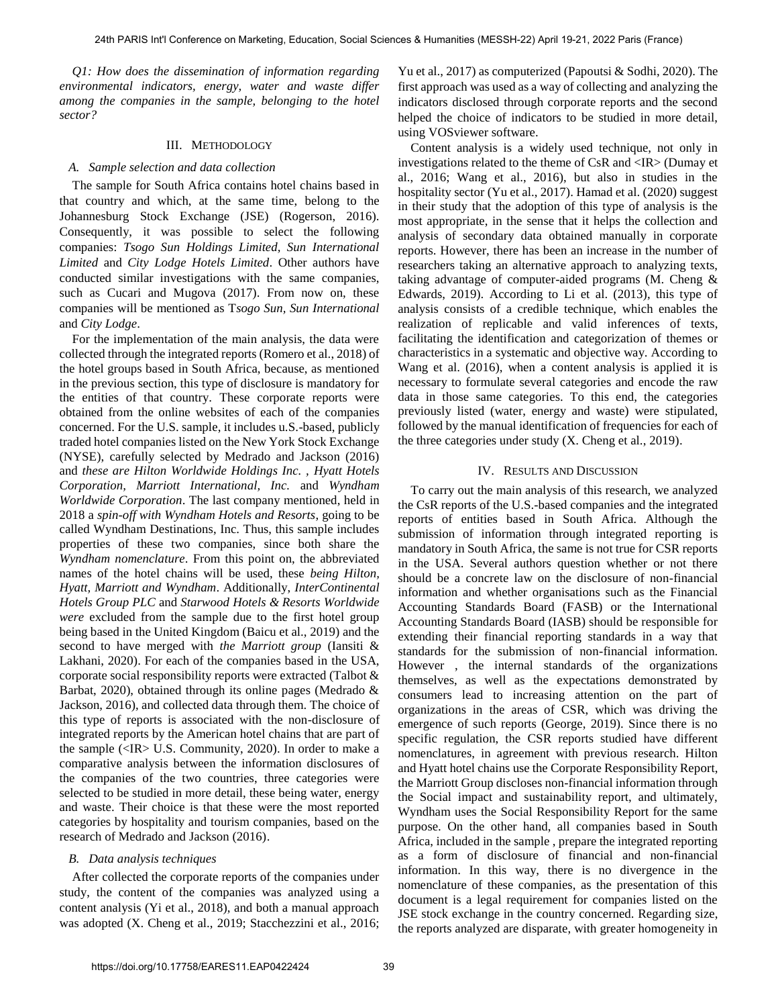*Q1: How does the dissemination of information regarding environmental indicators, energy, water and waste differ among the companies in the sample, belonging to the hotel sector?*

#### III. METHODOLOGY

### *A. Sample selection and data collection*

The sample for South Africa contains hotel chains based in that country and which, at the same time, belong to the Johannesburg Stock Exchange (JSE) (Rogerson, 2016). Consequently, it was possible to select the following companies: *Tsogo Sun Holdings Limited, Sun International Limited* and *City Lodge Hotels Limited*. Other authors have conducted similar investigations with the same companies, such as Cucari and Mugova (2017). From now on, these companies will be mentioned as T*sogo Sun, Sun International*  and *City Lodge*.

For the implementation of the main analysis, the data were collected through the integrated reports (Romero et al., 2018) of the hotel groups based in South Africa, because, as mentioned in the previous section, this type of disclosure is mandatory for the entities of that country. These corporate reports were obtained from the online websites of each of the companies concerned. For the U.S. sample, it includes u.S.-based, publicly traded hotel companies listed on the New York Stock Exchange (NYSE), carefully selected by Medrado and Jackson (2016) and *these are Hilton Worldwide Holdings Inc. , Hyatt Hotels Corporation, Marriott International, Inc.* and *Wyndham Worldwide Corporation*. The last company mentioned, held in 2018 a *spin-off with Wyndham Hotels and Resorts*, going to be called Wyndham Destinations, Inc. Thus, this sample includes properties of these two companies, since both share the *Wyndham nomenclature*. From this point on, the abbreviated names of the hotel chains will be used, these *being Hilton, Hyatt, Marriott and Wyndham*. Additionally, *InterContinental Hotels Group PLC* and *Starwood Hotels & Resorts Worldwide were* excluded from the sample due to the first hotel group being based in the United Kingdom (Baicu et al., 2019) and the second to have merged with *the Marriott group* (Iansiti & Lakhani, 2020). For each of the companies based in the USA, corporate social responsibility reports were extracted (Talbot & Barbat, 2020), obtained through its online pages (Medrado & Jackson, 2016), and collected data through them. The choice of this type of reports is associated with the non-disclosure of integrated reports by the American hotel chains that are part of the sample (<IR> U.S. Community, 2020). In order to make a comparative analysis between the information disclosures of the companies of the two countries, three categories were selected to be studied in more detail, these being water, energy and waste. Their choice is that these were the most reported categories by hospitality and tourism companies, based on the research of Medrado and Jackson (2016).

## *B. Data analysis techniques*

After collected the corporate reports of the companies under study, the content of the companies was analyzed using a content analysis (Yi et al., 2018), and both a manual approach was adopted (X. Cheng et al., 2019; Stacchezzini et al., 2016; Yu et al., 2017) as computerized (Papoutsi & Sodhi, 2020). The first approach was used as a way of collecting and analyzing the indicators disclosed through corporate reports and the second helped the choice of indicators to be studied in more detail, using VOSviewer software.

Content analysis is a widely used technique, not only in investigations related to the theme of CsR and <IR> (Dumay et al., 2016; Wang et al., 2016), but also in studies in the hospitality sector (Yu et al., 2017). Hamad et al. (2020) suggest in their study that the adoption of this type of analysis is the most appropriate, in the sense that it helps the collection and analysis of secondary data obtained manually in corporate reports. However, there has been an increase in the number of researchers taking an alternative approach to analyzing texts, taking advantage of computer-aided programs (M. Cheng & Edwards, 2019). According to Li et al. (2013), this type of analysis consists of a credible technique, which enables the realization of replicable and valid inferences of texts, facilitating the identification and categorization of themes or characteristics in a systematic and objective way. According to Wang et al. (2016), when a content analysis is applied it is necessary to formulate several categories and encode the raw data in those same categories. To this end, the categories previously listed (water, energy and waste) were stipulated, followed by the manual identification of frequencies for each of the three categories under study (X. Cheng et al., 2019).

#### IV. RESULTS AND DISCUSSION

To carry out the main analysis of this research, we analyzed the CsR reports of the U.S.-based companies and the integrated reports of entities based in South Africa. Although the submission of information through integrated reporting is mandatory in South Africa, the same is not true for CSR reports in the USA. Several authors question whether or not there should be a concrete law on the disclosure of non-financial information and whether organisations such as the Financial Accounting Standards Board (FASB) or the International Accounting Standards Board (IASB) should be responsible for extending their financial reporting standards in a way that standards for the submission of non-financial information. However , the internal standards of the organizations themselves, as well as the expectations demonstrated by consumers lead to increasing attention on the part of organizations in the areas of CSR, which was driving the emergence of such reports (George, 2019). Since there is no specific regulation, the CSR reports studied have different nomenclatures, in agreement with previous research. Hilton and Hyatt hotel chains use the Corporate Responsibility Report, the Marriott Group discloses non-financial information through the Social impact and sustainability report, and ultimately, Wyndham uses the Social Responsibility Report for the same purpose. On the other hand, all companies based in South Africa, included in the sample , prepare the integrated reporting as a form of disclosure of financial and non-financial information. In this way, there is no divergence in the nomenclature of these companies, as the presentation of this document is a legal requirement for companies listed on the JSE stock exchange in the country concerned. Regarding size, the reports analyzed are disparate, with greater homogeneity in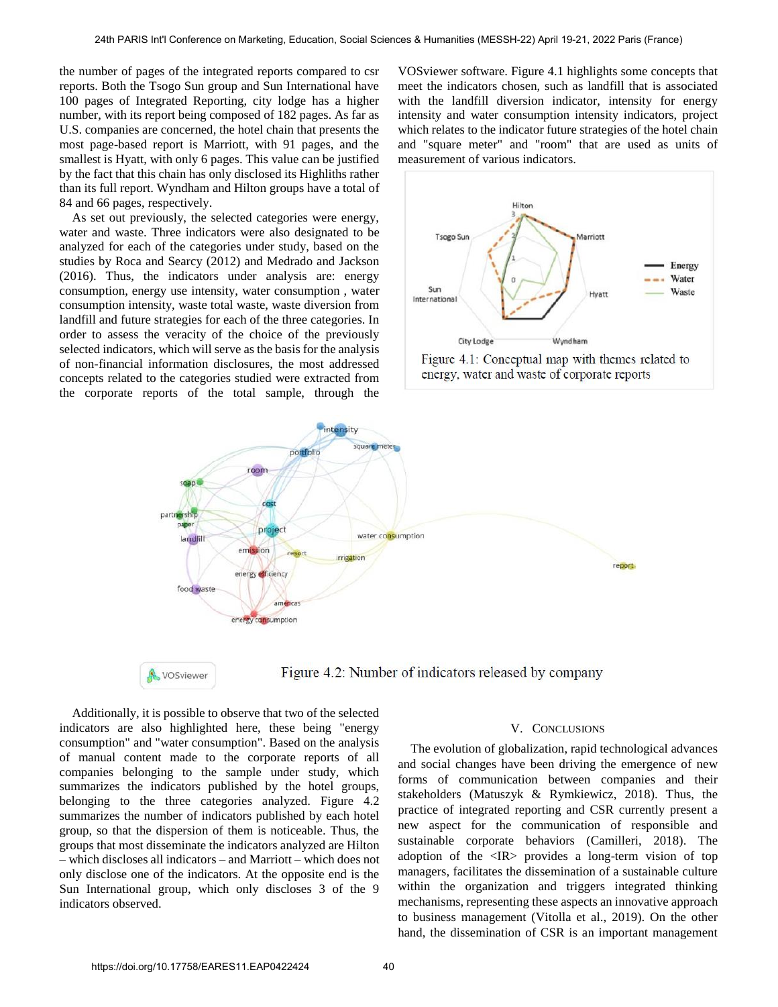the number of pages of the integrated reports compared to csr reports. Both the Tsogo Sun group and Sun International have 100 pages of Integrated Reporting, city lodge has a higher number, with its report being composed of 182 pages. As far as U.S. companies are concerned, the hotel chain that presents the most page-based report is Marriott, with 91 pages, and the smallest is Hyatt, with only 6 pages. This value can be justified by the fact that this chain has only disclosed its Highliths rather than its full report. Wyndham and Hilton groups have a total of 84 and 66 pages, respectively.

As set out previously, the selected categories were energy, water and waste. Three indicators were also designated to be analyzed for each of the categories under study, based on the studies by Roca and Searcy (2012) and Medrado and Jackson (2016). Thus, the indicators under analysis are: energy consumption, energy use intensity, water consumption , water consumption intensity, waste total waste, waste diversion from landfill and future strategies for each of the three categories. In order to assess the veracity of the choice of the previously selected indicators, which will serve as the basis for the analysis of non-financial information disclosures, the most addressed concepts related to the categories studied were extracted from the corporate reports of the total sample, through the VOSviewer software. Figure 4.1 highlights some concepts that meet the indicators chosen, such as landfill that is associated with the landfill diversion indicator, intensity for energy intensity and water consumption intensity indicators, project which relates to the indicator future strategies of the hotel chain and "square meter" and "room" that are used as units of measurement of various indicators.





VOSviewer

Figure 4.2: Number of indicators released by company

Additionally, it is possible to observe that two of the selected indicators are also highlighted here, these being "energy consumption" and "water consumption". Based on the analysis of manual content made to the corporate reports of all companies belonging to the sample under study, which summarizes the indicators published by the hotel groups, belonging to the three categories analyzed. Figure 4.2 summarizes the number of indicators published by each hotel group, so that the dispersion of them is noticeable. Thus, the groups that most disseminate the indicators analyzed are Hilton – which discloses all indicators – and Marriott – which does not only disclose one of the indicators. At the opposite end is the Sun International group, which only discloses 3 of the 9 indicators observed.

#### V. CONCLUSIONS

The evolution of globalization, rapid technological advances and social changes have been driving the emergence of new forms of communication between companies and their stakeholders (Matuszyk & Rymkiewicz, 2018). Thus, the practice of integrated reporting and CSR currently present a new aspect for the communication of responsible and sustainable corporate behaviors (Camilleri, 2018). The adoption of the <IR> provides a long-term vision of top managers, facilitates the dissemination of a sustainable culture within the organization and triggers integrated thinking mechanisms, representing these aspects an innovative approach to business management (Vitolla et al., 2019). On the other hand, the dissemination of CSR is an important management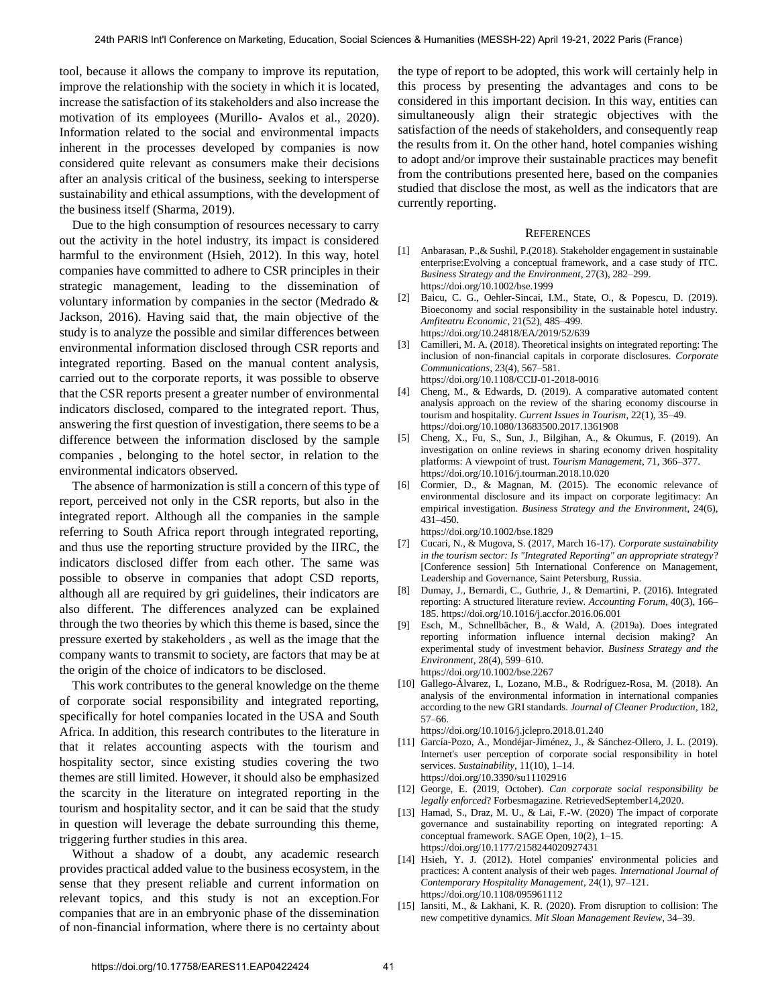tool, because it allows the company to improve its reputation, improve the relationship with the society in which it is located, increase the satisfaction of its stakeholders and also increase the motivation of its employees (Murillo- Avalos et al., 2020). Information related to the social and environmental impacts inherent in the processes developed by companies is now considered quite relevant as consumers make their decisions after an analysis critical of the business, seeking to intersperse sustainability and ethical assumptions, with the development of the business itself (Sharma, 2019).

Due to the high consumption of resources necessary to carry out the activity in the hotel industry, its impact is considered harmful to the environment (Hsieh, 2012). In this way, hotel companies have committed to adhere to CSR principles in their strategic management, leading to the dissemination of voluntary information by companies in the sector (Medrado & Jackson, 2016). Having said that, the main objective of the study is to analyze the possible and similar differences between environmental information disclosed through CSR reports and integrated reporting. Based on the manual content analysis, carried out to the corporate reports, it was possible to observe that the CSR reports present a greater number of environmental indicators disclosed, compared to the integrated report. Thus, answering the first question of investigation, there seems to be a difference between the information disclosed by the sample companies , belonging to the hotel sector, in relation to the environmental indicators observed.

The absence of harmonization is still a concern of this type of report, perceived not only in the CSR reports, but also in the integrated report. Although all the companies in the sample referring to South Africa report through integrated reporting, and thus use the reporting structure provided by the IIRC, the indicators disclosed differ from each other. The same was possible to observe in companies that adopt CSD reports, although all are required by gri guidelines, their indicators are also different. The differences analyzed can be explained through the two theories by which this theme is based, since the pressure exerted by stakeholders , as well as the image that the company wants to transmit to society, are factors that may be at the origin of the choice of indicators to be disclosed.

This work contributes to the general knowledge on the theme of corporate social responsibility and integrated reporting, specifically for hotel companies located in the USA and South Africa. In addition, this research contributes to the literature in that it relates accounting aspects with the tourism and hospitality sector, since existing studies covering the two themes are still limited. However, it should also be emphasized the scarcity in the literature on integrated reporting in the tourism and hospitality sector, and it can be said that the study in question will leverage the debate surrounding this theme, triggering further studies in this area.

Without a shadow of a doubt, any academic research provides practical added value to the business ecosystem, in the sense that they present reliable and current information on relevant topics, and this study is not an exception.For companies that are in an embryonic phase of the dissemination of non-financial information, where there is no certainty about the type of report to be adopted, this work will certainly help in this process by presenting the advantages and cons to be considered in this important decision. In this way, entities can simultaneously align their strategic objectives with the satisfaction of the needs of stakeholders, and consequently reap the results from it. On the other hand, hotel companies wishing to adopt and/or improve their sustainable practices may benefit from the contributions presented here, based on the companies studied that disclose the most, as well as the indicators that are currently reporting.

#### **REFERENCES**

- [1] [Anbarasan, P.,& Sushil, P.\(2018\). Stakeholder engagement in sustainable](https://doi.org/10.1002/bse.1999)  [enterprise:Evolving a conceptual framework, and a case study of ITC.](https://doi.org/10.1002/bse.1999)  *[Business Strategy and the Environment](https://doi.org/10.1002/bse.1999)*, 27(3), 282–299. https://doi.org/10.1002/bse.1999
- [2] [Baicu, C. G., Oehler-Sincai, I.M., State, O., & Popescu, D. \(2019\).](https://doi.org/10.24818/EA/2019/52/639)  [Bioeconomy and social responsibility in the sustainable hotel industry.](https://doi.org/10.24818/EA/2019/52/639)  *[Amfiteatru Economic](https://doi.org/10.24818/EA/2019/52/639)*, 21(52), 485–499. https://doi.org/10.24818/EA/2019/52/639
- [3] [Camilleri, M. A. \(2018\). Theoretical insights on integrated reporting: The](https://doi.org/10.1108/CCIJ-01-2018-0016)  [inclusion of non-financial capitals in corporate disclosures.](https://doi.org/10.1108/CCIJ-01-2018-0016) *Corporate Communications*[, 23\(4\), 567–581.](https://doi.org/10.1108/CCIJ-01-2018-0016)  https://doi.org/10.1108/CCIJ-01-2018-0016
- [4] [Cheng, M., & Edwards, D. \(2019\). A comparative automated content](https://doi.org/10.1080/13683500.2017.1361908)  [analysis approach on the review of the sharing economy discourse in](https://doi.org/10.1080/13683500.2017.1361908)  tourism and hospitality. *[Current Issues in Tourism](https://doi.org/10.1080/13683500.2017.1361908)*, 22(1), 35–49. https://doi.org/10.1080/13683500.2017.1361908
- [5] [Cheng, X., Fu, S., Sun, J., Bilgihan, A., & Okumus, F. \(2019\). An](https://doi.org/10.1016/j.tourman.2018.10.020)  [investigation on online reviews in sharing economy driven hospitality](https://doi.org/10.1016/j.tourman.2018.10.020)  [platforms: A viewpoint of trust.](https://doi.org/10.1016/j.tourman.2018.10.020) *Tourism Management*, 71, 366–377. https://doi.org/10.1016/j.tourman.2018.10.020
- [6] [Cormier, D., & Magnan, M. \(2015\). The economic relevance of](https://doi.org/10.1002/bse.1829)  [environmental disclosure and its impact on corporate legitimacy: An](https://doi.org/10.1002/bse.1829)  empirical investigation. *[Business Strategy and the Environment](https://doi.org/10.1002/bse.1829)*, 24(6), [431–450.](https://doi.org/10.1002/bse.1829) https://doi.org/10.1002/bse.1829
- [7] Cucari, N., & Mugova, S. (2017, March 16-17). *Corporate sustainability in the tourism sector: Is "Integrated Reporting" an appropriate strategy*? [Conference session] 5th International Conference on Management, Leadership and Governance, Saint Petersburg, Russia.
- [8] [Dumay, J., Bernardi, C., Guthrie, J., & Demartini, P. \(2016\). Integrated](https://doi.org/10.1016/j.accfor.2016.06.001)  [reporting: A structured literature review.](https://doi.org/10.1016/j.accfor.2016.06.001) *Accounting Forum*, 40(3), 166– [185.](https://doi.org/10.1016/j.accfor.2016.06.001) https://doi.org/10.1016/j.accfor.2016.06.001
- [9] [Esch, M., Schnellbächer, B., & Wald, A. \(2019a\). Does integrated](https://doi.org/10.1002/bse.2267)  [reporting information influence internal decision making? An](https://doi.org/10.1002/bse.2267)  [experimental study of investment behavior.](https://doi.org/10.1002/bse.2267) *Business Strategy and the Environment*[, 28\(4\), 599–610.](https://doi.org/10.1002/bse.2267)  https://doi.org/10.1002/bse.2267
- [10] [Gallego-Álvarez, I., Lozano, M.B., & Rodríguez-Rosa, M. \(2018\). An](https://doi.org/10.1016/j.jclepro.2018.01.240)  [analysis of the environmental information in international companies](https://doi.org/10.1016/j.jclepro.2018.01.240)  [according to the new GRI standards.](https://doi.org/10.1016/j.jclepro.2018.01.240) *Journal of Cleaner Production*, 182, [57–66.](https://doi.org/10.1016/j.jclepro.2018.01.240)

https://doi.org/10.1016/j.jclepro.2018.01.240

- [11] [García-Pozo, A., Mondéjar-Jiménez, J., & Sánchez-Ollero, J. L. \(2019\).](https://doi.org/10.3390/su11102916)  [Internet's user perception of corporate social responsibility in hotel](https://doi.org/10.3390/su11102916)  services. *Sustainability*[, 11\(10\), 1–14.](https://doi.org/10.3390/su11102916)  https://doi.org/10.3390/su11102916
- [12] George, E. (2019, October). *Can corporate social responsibility be legally enforced*? Forbesmagazine. RetrievedSeptember14,2020.
- [13] Hamad, S., Draz, M. U., & Lai, F.-W. (2020) The impact of corporate [governance and sustainability reporting on integrated reporting: A](https://doi.org/10.1177/2158244020927431)  [conceptual framework. SAGE Open, 10\(2\), 1–15.](https://doi.org/10.1177/2158244020927431)  https://doi.org/10.1177/2158244020927431
- [14] Hsieh, Y. J. (2012). Hotel companies' environmental policies and [practices: A content analysis of their web pages.](https://doi.org/10.1108/095961112) *International Journal of [Contemporary Hospitality Management](https://doi.org/10.1108/095961112)*, 24(1), 97–121. https://doi.org/10.1108/095961112
- [15] Iansiti, M., & Lakhani, K. R. (2020). From disruption to collision: The new competitive dynamics. *Mit Sloan Management Review*, 34–39.